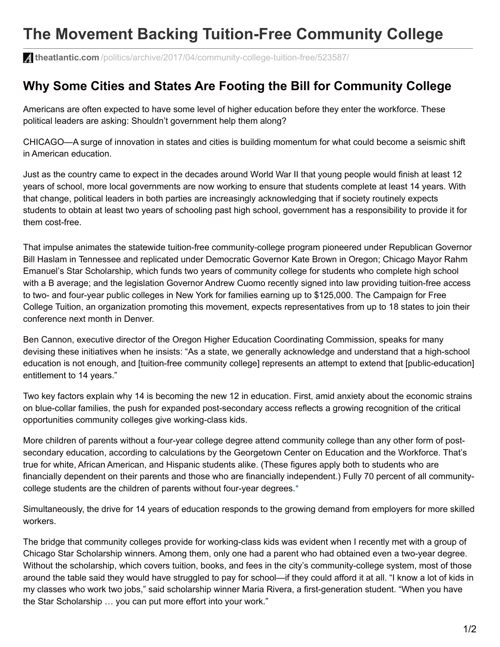## **The Movement Backing Tuition-Free Community College**

**theatlantic.com** [/politics/archive/2017/04/community-college-tuition-free/523587/](https://www.theatlantic.com/politics/archive/2017/04/community-college-tuition-free/523587/?google_editors_picks=true)

## **Why Some Cities and States Are Footing the Bill for Community College**

Americans are often expected to have some level of higher education before they enter the workforce. These political leaders are asking: Shouldn't government help them along?

CHICAGO—A surge of innovation in states and cities is building momentum for what could become a seismic shift in American education.

Just as the country came to expect in the decades around World War II that young people would finish at least 12 years of school, more local governments are now working to ensure that students complete at least 14 years. With that change, political leaders in both parties are increasingly acknowledging that if society routinely expects students to obtain at least two years of schooling past high school, government has a responsibility to provide it for them cost-free.

That impulse animates the statewide tuition-free community-college program pioneered under Republican Governor Bill Haslam in Tennessee and replicated under Democratic Governor Kate Brown in Oregon; Chicago Mayor Rahm Emanuel's Star Scholarship, which funds two years of community college for students who complete high school with a B average; and the legislation Governor Andrew Cuomo recently signed into law providing tuition-free access to two- and four-year public colleges in New York for families earning up to \$125,000. The Campaign for Free College Tuition, an organization promoting this movement, expects representatives from up to 18 states to join their conference next month in Denver.

Ben Cannon, executive director of the Oregon Higher Education Coordinating Commission, speaks for many devising these initiatives when he insists: "As a state, we generally acknowledge and understand that a high-school education is not enough, and [tuition-free community college] represents an attempt to extend that [public-education] entitlement to 14 years."

Two key factors explain why 14 is becoming the new 12 in education. First, amid anxiety about the economic strains on blue-collar families, the push for expanded post-secondary access reflects a growing recognition of the critical opportunities community colleges give working-class kids.

More children of parents without a four-year college degree attend community college than any other form of postsecondary education, according to calculations by the Georgetown Center on Education and the Workforce. That's true for white, African American, and Hispanic students alike. (These figures apply both to students who are financially dependent on their parents and those who are financially independent.) Fully 70 percent of all communitycollege students are the children of parents without four-year degrees.\*

Simultaneously, the drive for 14 years of education responds to the growing demand from employers for more skilled workers.

The bridge that community colleges provide for working-class kids was evident when I recently met with a group of Chicago Star Scholarship winners. Among them, only one had a parent who had obtained even a two-year degree. Without the scholarship, which covers tuition, books, and fees in the city's community-college system, most of those around the table said they would have struggled to pay for school—if they could afford it at all. "I know a lot of kids in my classes who work two jobs," said scholarship winner Maria Rivera, a first-generation student. "When you have the Star Scholarship … you can put more effort into your work."